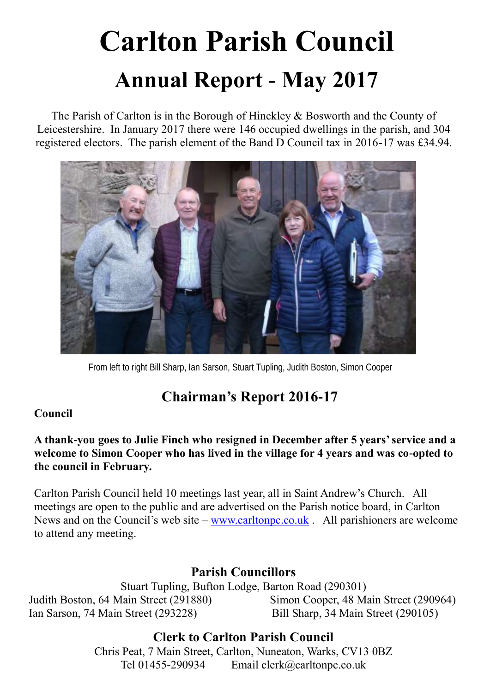# **Carlton Parish Council Annual Report - May 2017**

The Parish of Carlton is in the Borough of Hinckley & Bosworth and the County of Leicestershire. In January 2017 there were 146 occupied dwellings in the parish, and 304 registered electors. The parish element of the Band D Council tax in 2016-17 was £34.94.



From left to right Bill Sharp, Ian Sarson, Stuart Tupling, Judith Boston, Simon Cooper

# **Chairman's Report 2016-17**

#### **Council**

#### **A thank-you goes to Julie Finch who resigned in December after 5 years' service and a welcome to Simon Cooper who has lived in the village for 4 years and was co-opted to the council in February.**

Carlton Parish Council held 10 meetings last year, all in Saint Andrew's Church. All meetings are open to the public and are advertised on the Parish notice board, in Carlton News and on the Council's web site – [www.carltonpc.co.uk](http://www.carlton.co.uk/) . All parishioners are welcome to attend any meeting.

## **Parish Councillors**

Stuart Tupling, Bufton Lodge, Barton Road (290301) Judith Boston, 64 Main Street (291880) Simon Cooper, 48 Main Street (290964) Ian Sarson, 74 Main Street (293228) Bill Sharp, 34 Main Street (290105)

## **Clerk to Carlton Parish Council**

Chris Peat, 7 Main Street, Carlton, Nuneaton, Warks, CV13 0BZ Tel 01455-290934 Email clerk@carltonpc.co.uk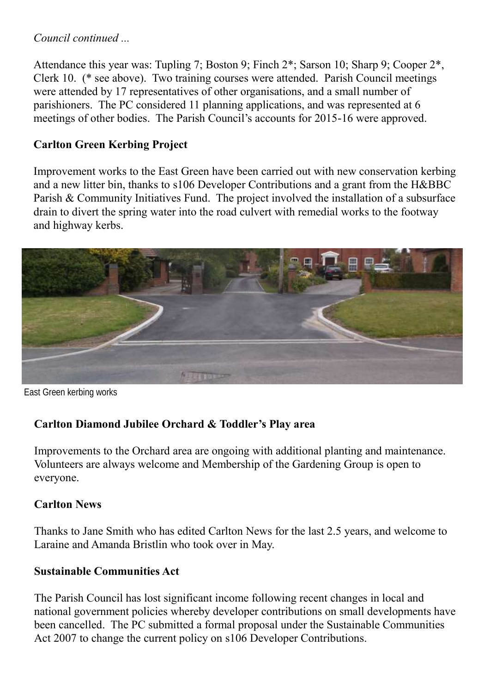#### *Council continued ...*

Attendance this year was: Tupling 7; Boston 9; Finch 2\*; Sarson 10; Sharp 9; Cooper 2\*, Clerk 10. (\* see above). Two training courses were attended. Parish Council meetings were attended by 17 representatives of other organisations, and a small number of parishioners. The PC considered 11 planning applications, and was represented at 6 meetings of other bodies. The Parish Council's accounts for 2015-16 were approved.

#### **Carlton Green Kerbing Project**

Improvement works to the East Green have been carried out with new conservation kerbing and a new litter bin, thanks to s106 Developer Contributions and a grant from the H&BBC Parish & Community Initiatives Fund. The project involved the installation of a subsurface drain to divert the spring water into the road culvert with remedial works to the footway and highway kerbs.



East Green kerbing works

#### **Carlton Diamond Jubilee Orchard & Toddler's Play area**

Improvements to the Orchard area are ongoing with additional planting and maintenance. Volunteers are always welcome and Membership of the Gardening Group is open to everyone.

#### **Carlton News**

Thanks to Jane Smith who has edited Carlton News for the last 2.5 years, and welcome to Laraine and Amanda Bristlin who took over in May.

#### **Sustainable Communities Act**

The Parish Council has lost significant income following recent changes in local and national government policies whereby developer contributions on small developments have been cancelled. The PC submitted a formal proposal under the Sustainable Communities Act 2007 to change the current policy on s106 Developer Contributions.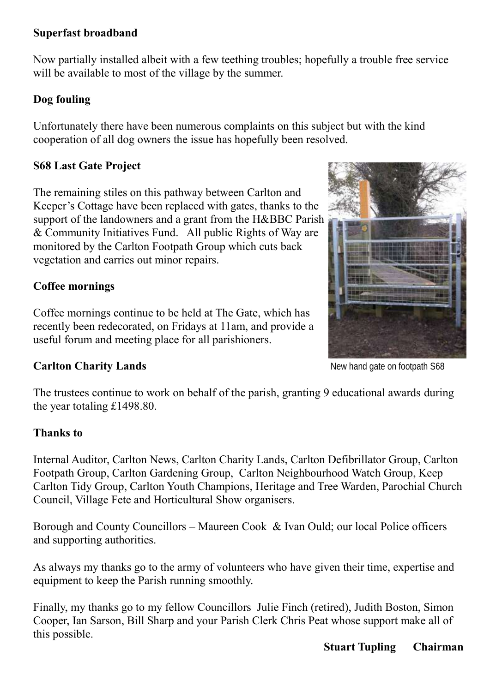#### **Superfast broadband**

Now partially installed albeit with a few teething troubles; hopefully a trouble free service will be available to most of the village by the summer.

#### **Dog fouling**

Unfortunately there have been numerous complaints on this subject but with the kind cooperation of all dog owners the issue has hopefully been resolved.

#### **S68 Last Gate Project**

The remaining stiles on this pathway between Carlton and Keeper's Cottage have been replaced with gates, thanks to the support of the landowners and a grant from the H&BBC Parish & Community Initiatives Fund. All public Rights of Way are monitored by the Carlton Footpath Group which cuts back vegetation and carries out minor repairs.

#### **Coffee mornings**

Coffee mornings continue to be held at The Gate, which has recently been redecorated, on Fridays at 11am, and provide a useful forum and meeting place for all parishioners.

#### **Carlton Charity Lands**

The trustees continue to work on behalf of the parish, granting 9 educational awards during the year totaling £1498.80.

#### **Thanks to**

Internal Auditor, Carlton News, Carlton Charity Lands, Carlton Defibrillator Group, Carlton Footpath Group, Carlton Gardening Group, Carlton Neighbourhood Watch Group, Keep Carlton Tidy Group, Carlton Youth Champions, Heritage and Tree Warden, Parochial Church Council, Village Fete and Horticultural Show organisers.

Borough and County Councillors – Maureen Cook & Ivan Ould; our local Police officers and supporting authorities.

As always my thanks go to the army of volunteers who have given their time, expertise and equipment to keep the Parish running smoothly.

Finally, my thanks go to my fellow Councillors Julie Finch (retired), Judith Boston, Simon Cooper, Ian Sarson, Bill Sharp and your Parish Clerk Chris Peat whose support make all of this possible.

# New hand gate on footpath S68